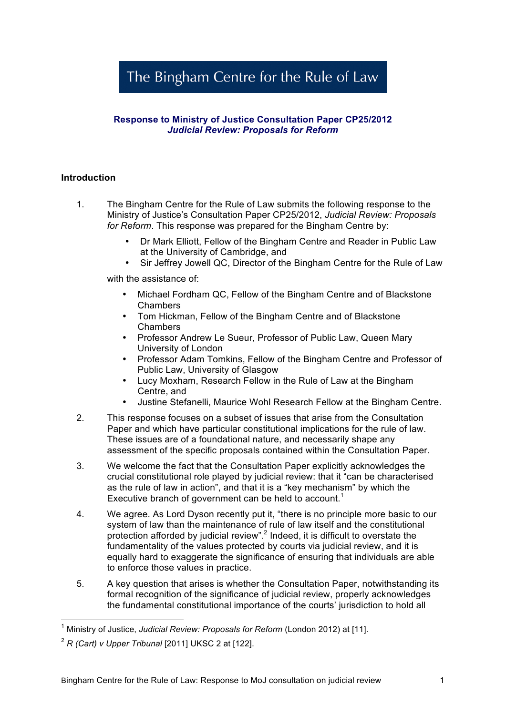# The Bingham Centre for the Rule of Law

## **Response to Ministry of Justice Consultation Paper CP25/2012**  *Judicial Review: Proposals for Reform*

## **Introduction**

- 1. The Bingham Centre for the Rule of Law submits the following response to the Ministry of Justice's Consultation Paper CP25/2012, *Judicial Review: Proposals for Reform*. This response was prepared for the Bingham Centre by:
	- Dr Mark Elliott, Fellow of the Bingham Centre and Reader in Public Law at the University of Cambridge, and
	- Sir Jeffrey Jowell QC, Director of the Bingham Centre for the Rule of Law

with the assistance of:

- Michael Fordham QC, Fellow of the Bingham Centre and of Blackstone Chambers
- Tom Hickman, Fellow of the Bingham Centre and of Blackstone Chambers
- Professor Andrew Le Sueur, Professor of Public Law, Queen Mary University of London
- Professor Adam Tomkins, Fellow of the Bingham Centre and Professor of Public Law, University of Glasgow
- Lucy Moxham, Research Fellow in the Rule of Law at the Bingham Centre, and
- Justine Stefanelli, Maurice Wohl Research Fellow at the Bingham Centre.
- 2. This response focuses on a subset of issues that arise from the Consultation Paper and which have particular constitutional implications for the rule of law. These issues are of a foundational nature, and necessarily shape any assessment of the specific proposals contained within the Consultation Paper.
- 3. We welcome the fact that the Consultation Paper explicitly acknowledges the crucial constitutional role played by judicial review: that it "can be characterised as the rule of law in action", and that it is a "key mechanism" by which the Executive branch of government can be held to account.<sup>1</sup>
- 4. We agree. As Lord Dyson recently put it, "there is no principle more basic to our system of law than the maintenance of rule of law itself and the constitutional protection afforded by judicial review".<sup>2</sup> Indeed, it is difficult to overstate the fundamentality of the values protected by courts via judicial review, and it is equally hard to exaggerate the significance of ensuring that individuals are able to enforce those values in practice.
- 5. A key question that arises is whether the Consultation Paper, notwithstanding its formal recognition of the significance of judicial review, properly acknowledges the fundamental constitutional importance of the courts' jurisdiction to hold all

 <sup>1</sup> Ministry of Justice, *Judicial Review: Proposals for Reform* (London 2012) at [11].

<sup>2</sup> *R (Cart) v Upper Tribunal* [2011] UKSC 2 at [122].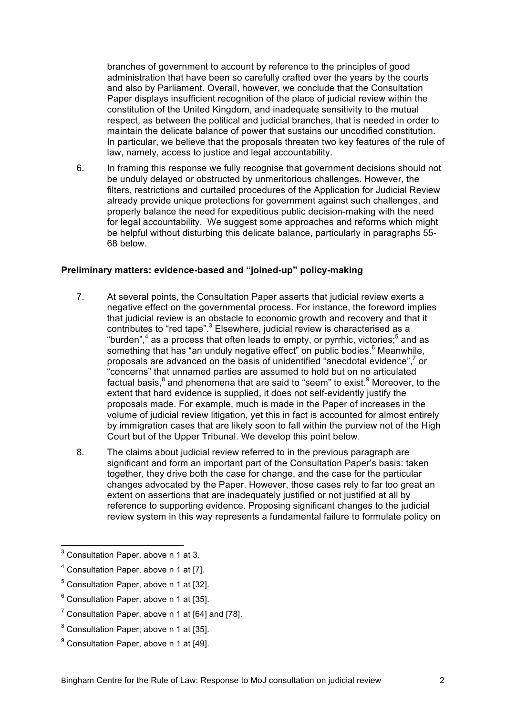branches of government to account by reference to the principles of good administration that have been so carefully crafted over the years by the courts and also by Parliament. Overall, however, we conclude that the Consultation Paper displays insufficient recognition of the place of judicial review within the constitution of the United Kingdom, and inadequate sensitivity to the mutual respect, as between the political and judicial branches, that is needed in order to maintain the delicate balance of power that sustains our uncodified constitution. In particular, we believe that the proposals threaten two key features of the rule of law, namely, access to justice and legal accountability.

6. In framing this response we fully recognise that government decisions should not be unduly delayed or obstructed by unmeritorious challenges. However, the filters, restrictions and curtailed procedures of the Application for Judicial Review already provide unique protections for government against such challenges, and properly balance the need for expeditious public decision-making with the need for legal accountability. We suggest some approaches and reforms which might be helpful without disturbing this delicate balance, particularly in paragraphs 55- 68 below.

## **Preliminary matters: evidence-based and "joined-up" policy-making**

- 7. At several points, the Consultation Paper asserts that judicial review exerts a negative effect on the governmental process. For instance, the foreword implies that judicial review is an obstacle to economic growth and recovery and that it contributes to "red tape".<sup>3</sup> Elsewhere, judicial review is characterised as a "burden", $4$  as a process that often leads to empty, or pyrrhic, victories; $5$  and as something that has "an unduly negative effect" on public bodies.<sup>6</sup> Meanwhile, proposals are advanced on the basis of unidentified "anecdotal evidence",<sup>7</sup> or "concerns" that unnamed parties are assumed to hold but on no articulated factual basis,<sup>8</sup> and phenomena that are said to "seem" to exist.<sup>9</sup> Moreover, to the extent that hard evidence is supplied, it does not self-evidently justify the proposals made. For example, much is made in the Paper of increases in the volume of judicial review litigation, yet this in fact is accounted for almost entirely by immigration cases that are likely soon to fall within the purview not of the High Court but of the Upper Tribunal. We develop this point below.
- 8. The claims about judicial review referred to in the previous paragraph are significant and form an important part of the Consultation Paper's basis: taken together, they drive both the case for change, and the case for the particular changes advocated by the Paper. However, those cases rely to far too great an extent on assertions that are inadequately justified or not justified at all by reference to supporting evidence. Proposing significant changes to the judicial review system in this way represents a fundamental failure to formulate policy on

 <sup>3</sup> Consultation Paper, above n 1 at 3.

<sup>&</sup>lt;sup>4</sup> Consultation Paper, above n 1 at [7].

 $<sup>5</sup>$  Consultation Paper, above n 1 at [32].</sup>

 $6$  Consultation Paper, above n 1 at [35].

<sup>&</sup>lt;sup>7</sup> Consultation Paper, above n 1 at [64] and [78].

 $^8$  Consultation Paper, above n 1 at [35].

 $^9$  Consultation Paper, above n 1 at [49].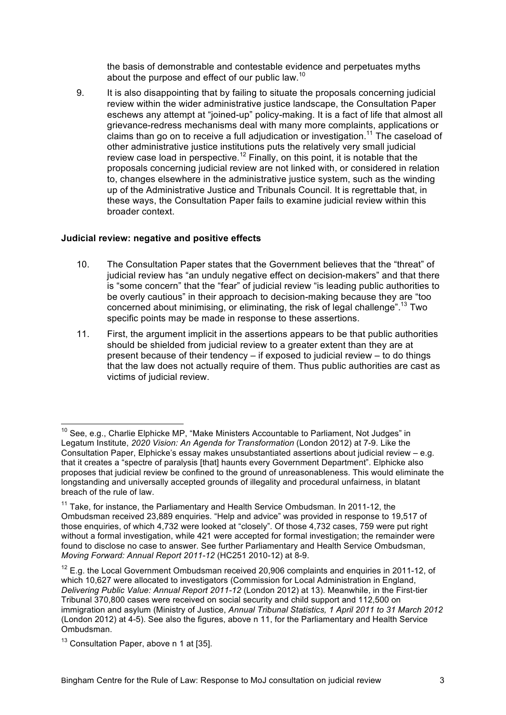the basis of demonstrable and contestable evidence and perpetuates myths about the purpose and effect of our public law.<sup>10</sup>

9. It is also disappointing that by failing to situate the proposals concerning judicial review within the wider administrative justice landscape, the Consultation Paper eschews any attempt at "joined-up" policy-making. It is a fact of life that almost all grievance-redress mechanisms deal with many more complaints, applications or claims than go on to receive a full adjudication or investigation.<sup>11</sup> The caseload of other administrative justice institutions puts the relatively very small judicial review case load in perspective.<sup>12</sup> Finally, on this point, it is notable that the proposals concerning judicial review are not linked with, or considered in relation to, changes elsewhere in the administrative justice system, such as the winding up of the Administrative Justice and Tribunals Council. It is regrettable that, in these ways, the Consultation Paper fails to examine judicial review within this broader context.

## **Judicial review: negative and positive effects**

- 10. The Consultation Paper states that the Government believes that the "threat" of judicial review has "an unduly negative effect on decision-makers" and that there is "some concern" that the "fear" of judicial review "is leading public authorities to be overly cautious" in their approach to decision-making because they are "too concerned about minimising, or eliminating, the risk of legal challenge".<sup>13</sup> Two specific points may be made in response to these assertions.
- 11. First, the argument implicit in the assertions appears to be that public authorities should be shielded from judicial review to a greater extent than they are at present because of their tendency – if exposed to judicial review – to do things that the law does not actually require of them. Thus public authorities are cast as victims of judicial review.

 $10$  See, e.g., Charlie Elphicke MP, "Make Ministers Accountable to Parliament, Not Judges" in Legatum Institute, *2020 Vision: An Agenda for Transformation* (London 2012) at 7-9. Like the Consultation Paper, Elphicke's essay makes unsubstantiated assertions about judicial review – e.g. that it creates a "spectre of paralysis [that] haunts every Government Department". Elphicke also proposes that judicial review be confined to the ground of unreasonableness. This would eliminate the longstanding and universally accepted grounds of illegality and procedural unfairness, in blatant breach of the rule of law.

 $11$  Take, for instance, the Parliamentary and Health Service Ombudsman. In 2011-12, the Ombudsman received 23,889 enquiries. "Help and advice" was provided in response to 19,517 of those enquiries, of which 4,732 were looked at "closely". Of those 4,732 cases, 759 were put right without a formal investigation, while 421 were accepted for formal investigation; the remainder were found to disclose no case to answer. See further Parliamentary and Health Service Ombudsman, *Moving Forward: Annual Report 2011-12* (HC251 2010-12) at 8-9.

 $12$  E.g. the Local Government Ombudsman received 20,906 complaints and enquiries in 2011-12, of which 10,627 were allocated to investigators (Commission for Local Administration in England, *Delivering Public Value: Annual Report 2011-12* (London 2012) at 13). Meanwhile, in the First-tier Tribunal 370,800 cases were received on social security and child support and 112,500 on immigration and asylum (Ministry of Justice, *Annual Tribunal Statistics, 1 April 2011 to 31 March 2012* (London 2012) at 4-5). See also the figures, above n 11, for the Parliamentary and Health Service Ombudsman.

 $13$  Consultation Paper, above n 1 at [35].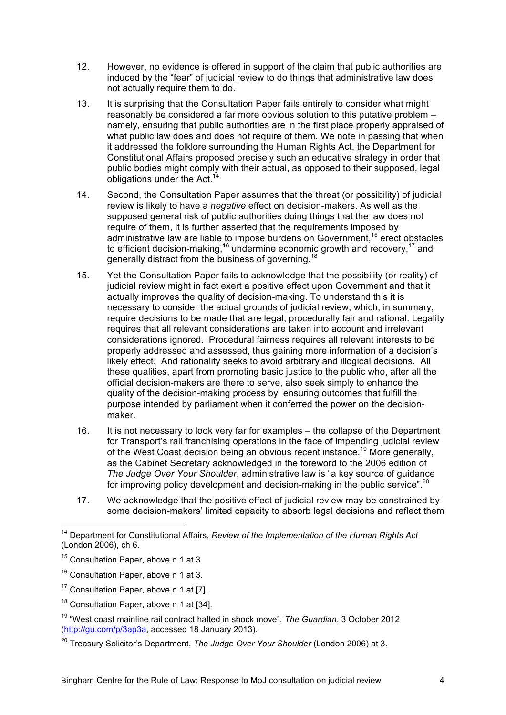- 12. However, no evidence is offered in support of the claim that public authorities are induced by the "fear" of judicial review to do things that administrative law does not actually require them to do.
- 13. It is surprising that the Consultation Paper fails entirely to consider what might reasonably be considered a far more obvious solution to this putative problem – namely, ensuring that public authorities are in the first place properly appraised of what public law does and does not require of them. We note in passing that when it addressed the folklore surrounding the Human Rights Act, the Department for Constitutional Affairs proposed precisely such an educative strategy in order that public bodies might comply with their actual, as opposed to their supposed, legal obligations under the Act.<sup>14</sup>
- 14. Second, the Consultation Paper assumes that the threat (or possibility) of judicial review is likely to have a *negative* effect on decision-makers. As well as the supposed general risk of public authorities doing things that the law does not require of them, it is further asserted that the requirements imposed by administrative law are liable to impose burdens on Government,<sup>15</sup> erect obstacles to efficient decision-making,<sup>16</sup> undermine economic growth and recovery,<sup>17</sup> and generally distract from the business of governing.<sup>18</sup>
- 15. Yet the Consultation Paper fails to acknowledge that the possibility (or reality) of judicial review might in fact exert a positive effect upon Government and that it actually improves the quality of decision-making. To understand this it is necessary to consider the actual grounds of judicial review, which, in summary, require decisions to be made that are legal, procedurally fair and rational. Legality requires that all relevant considerations are taken into account and irrelevant considerations ignored. Procedural fairness requires all relevant interests to be properly addressed and assessed, thus gaining more information of a decision's likely effect. And rationality seeks to avoid arbitrary and illogical decisions. All these qualities, apart from promoting basic justice to the public who, after all the official decision-makers are there to serve, also seek simply to enhance the quality of the decision-making process by ensuring outcomes that fulfill the purpose intended by parliament when it conferred the power on the decisionmaker.
- 16. It is not necessary to look very far for examples the collapse of the Department for Transport's rail franchising operations in the face of impending judicial review of the West Coast decision being an obvious recent instance.19 More generally, as the Cabinet Secretary acknowledged in the foreword to the 2006 edition of *The Judge Over Your Shoulder*, administrative law is "a key source of guidance for improving policy development and decision-making in the public service".<sup>20</sup>
- 17. We acknowledge that the positive effect of judicial review may be constrained by some decision-makers' limited capacity to absorb legal decisions and reflect them

 <sup>14</sup> Department for Constitutional Affairs, *Review of the Implementation of the Human Rights Act*  (London 2006), ch 6.

<sup>&</sup>lt;sup>15</sup> Consultation Paper, above n 1 at 3.

<sup>16</sup> Consultation Paper, above n 1 at 3.

 $17$  Consultation Paper, above n 1 at [7].

<sup>&</sup>lt;sup>18</sup> Consultation Paper, above n 1 at [34].

<sup>19 &</sup>quot;West coast mainline rail contract halted in shock move", *The Guardian*, 3 October 2012 (http://gu.com/p/3ap3a, accessed 18 January 2013).

<sup>20</sup> Treasury Solicitor's Department, *The Judge Over Your Shoulder* (London 2006) at 3.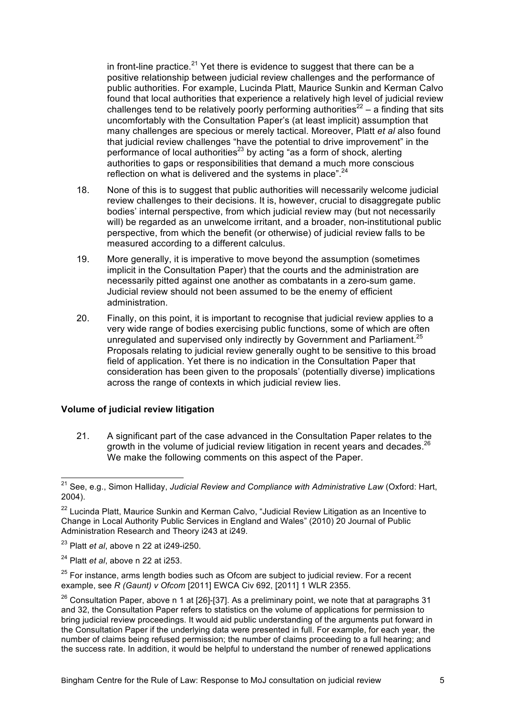in front-line practice.<sup>21</sup> Yet there is evidence to suggest that there can be a positive relationship between judicial review challenges and the performance of public authorities. For example, Lucinda Platt, Maurice Sunkin and Kerman Calvo found that local authorities that experience a relatively high level of judicial review challenges tend to be relatively poorly performing authorities<sup>22</sup> – a finding that sits uncomfortably with the Consultation Paper's (at least implicit) assumption that many challenges are specious or merely tactical. Moreover, Platt *et al* also found that judicial review challenges "have the potential to drive improvement" in the performance of local authorities $^{23}$  by acting "as a form of shock, alerting authorities to gaps or responsibilities that demand a much more conscious reflection on what is delivered and the systems in place".  $24$ 

- 18. None of this is to suggest that public authorities will necessarily welcome judicial review challenges to their decisions. It is, however, crucial to disaggregate public bodies' internal perspective, from which judicial review may (but not necessarily will) be regarded as an unwelcome irritant, and a broader, non-institutional public perspective, from which the benefit (or otherwise) of judicial review falls to be measured according to a different calculus.
- 19. More generally, it is imperative to move beyond the assumption (sometimes implicit in the Consultation Paper) that the courts and the administration are necessarily pitted against one another as combatants in a zero-sum game. Judicial review should not been assumed to be the enemy of efficient administration.
- 20. Finally, on this point, it is important to recognise that judicial review applies to a very wide range of bodies exercising public functions, some of which are often unregulated and supervised only indirectly by Government and Parliament.<sup>25</sup> Proposals relating to judicial review generally ought to be sensitive to this broad field of application. Yet there is no indication in the Consultation Paper that consideration has been given to the proposals' (potentially diverse) implications across the range of contexts in which judicial review lies.

#### **Volume of judicial review litigation**

21. A significant part of the case advanced in the Consultation Paper relates to the growth in the volume of judicial review litigation in recent years and decades.<sup>26</sup> We make the following comments on this aspect of the Paper.

 <sup>21</sup> See, e.g., Simon Halliday, *Judicial Review and Compliance with Administrative Law* (Oxford: Hart, 2004).

<sup>&</sup>lt;sup>22</sup> Lucinda Platt, Maurice Sunkin and Kerman Calvo, "Judicial Review Litigation as an Incentive to Change in Local Authority Public Services in England and Wales" (2010) 20 Journal of Public Administration Research and Theory i243 at i249.

<sup>23</sup> Platt *et al*, above n 22 at i249-i250.

<sup>24</sup> Platt *et al*, above n 22 at i253.

 $25$  For instance, arms length bodies such as Ofcom are subject to judicial review. For a recent example, see *R (Gaunt) v Ofcom* [2011] EWCA Civ 692, [2011] 1 WLR 2355.

 $26$  Consultation Paper, above n 1 at [26]-[37]. As a preliminary point, we note that at paragraphs 31 and 32, the Consultation Paper refers to statistics on the volume of applications for permission to bring judicial review proceedings. It would aid public understanding of the arguments put forward in the Consultation Paper if the underlying data were presented in full. For example, for each year, the number of claims being refused permission; the number of claims proceeding to a full hearing; and the success rate. In addition, it would be helpful to understand the number of renewed applications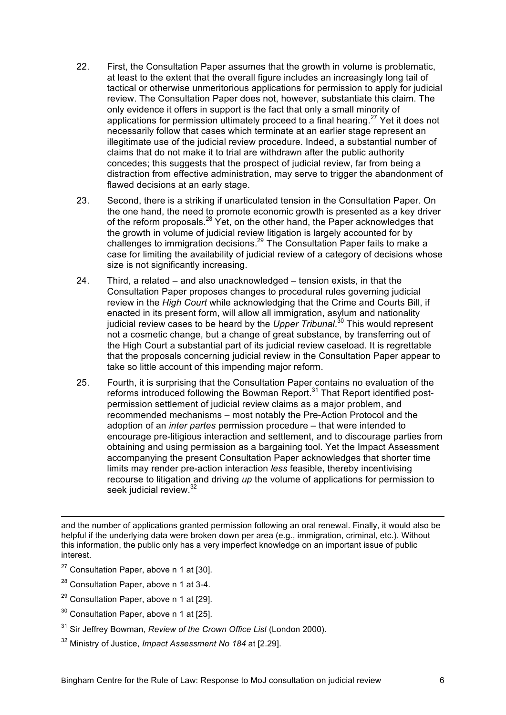- 22. First, the Consultation Paper assumes that the growth in volume is problematic, at least to the extent that the overall figure includes an increasingly long tail of tactical or otherwise unmeritorious applications for permission to apply for judicial review. The Consultation Paper does not, however, substantiate this claim. The only evidence it offers in support is the fact that only a small minority of applications for permission ultimately proceed to a final hearing.<sup>27</sup> Yet it does not necessarily follow that cases which terminate at an earlier stage represent an illegitimate use of the judicial review procedure. Indeed, a substantial number of claims that do not make it to trial are withdrawn after the public authority concedes; this suggests that the prospect of judicial review, far from being a distraction from effective administration, may serve to trigger the abandonment of flawed decisions at an early stage.
- 23. Second, there is a striking if unarticulated tension in the Consultation Paper. On the one hand, the need to promote economic growth is presented as a key driver of the reform proposals.<sup>28</sup> Yet, on the other hand, the Paper acknowledges that the growth in volume of judicial review litigation is largely accounted for by challenges to immigration decisions.29 The Consultation Paper fails to make a case for limiting the availability of judicial review of a category of decisions whose size is not significantly increasing.
- 24. Third, a related and also unacknowledged tension exists, in that the Consultation Paper proposes changes to procedural rules governing judicial review in the *High Court* while acknowledging that the Crime and Courts Bill, if enacted in its present form, will allow all immigration, asylum and nationality judicial review cases to be heard by the *Upper Tribunal*. <sup>30</sup> This would represent not a cosmetic change, but a change of great substance, by transferring out of the High Court a substantial part of its judicial review caseload. It is regrettable that the proposals concerning judicial review in the Consultation Paper appear to take so little account of this impending major reform.
- 25. Fourth, it is surprising that the Consultation Paper contains no evaluation of the reforms introduced following the Bowman Report.<sup>31</sup> That Report identified postpermission settlement of judicial review claims as a major problem, and recommended mechanisms – most notably the Pre-Action Protocol and the adoption of an *inter partes* permission procedure – that were intended to encourage pre-litigious interaction and settlement, and to discourage parties from obtaining and using permission as a bargaining tool. Yet the Impact Assessment accompanying the present Consultation Paper acknowledges that shorter time limits may render pre-action interaction *less* feasible, thereby incentivising recourse to litigation and driving *up* the volume of applications for permission to seek judicial review.<sup>32</sup>

 and the number of applications granted permission following an oral renewal. Finally, it would also be helpful if the underlying data were broken down per area (e.g., immigration, criminal, etc.). Without this information, the public only has a very imperfect knowledge on an important issue of public interest.

- $27$  Consultation Paper, above n 1 at [30].
- <sup>28</sup> Consultation Paper, above n 1 at 3-4.
- $29$  Consultation Paper, above n 1 at [29].
- <sup>30</sup> Consultation Paper, above n 1 at [25].
- 31 Sir Jeffrey Bowman, *Review of the Crown Office List* (London 2000).
- 32 Ministry of Justice, *Impact Assessment No 184* at [2.29].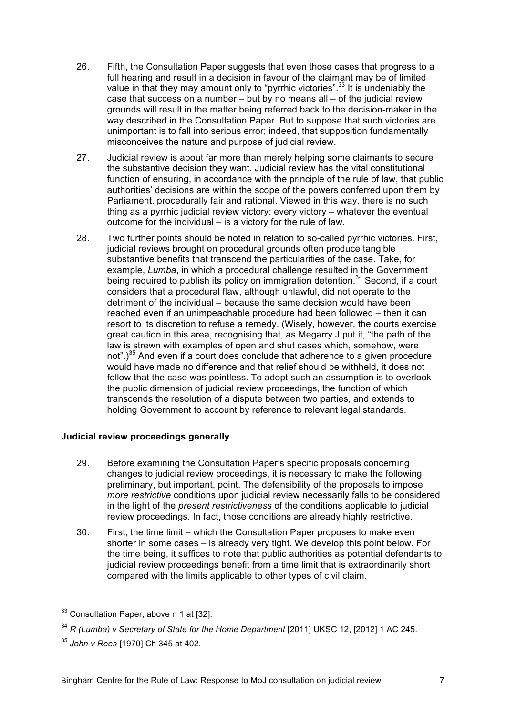- 26. Fifth, the Consultation Paper suggests that even those cases that progress to a full hearing and result in a decision in favour of the claimant may be of limited value in that they may amount only to "pyrrhic victories".<sup>33</sup> It is undeniably the case that success on a number – but by no means all – of the judicial review grounds will result in the matter being referred back to the decision-maker in the way described in the Consultation Paper. But to suppose that such victories are unimportant is to fall into serious error; indeed, that supposition fundamentally misconceives the nature and purpose of judicial review.
- 27. Judicial review is about far more than merely helping some claimants to secure the substantive decision they want. Judicial review has the vital constitutional function of ensuring, in accordance with the principle of the rule of law, that public authorities' decisions are within the scope of the powers conferred upon them by Parliament, procedurally fair and rational. Viewed in this way, there is no such thing as a pyrrhic judicial review victory: every victory – whatever the eventual outcome for the individual – is a victory for the rule of law.
- 28. Two further points should be noted in relation to so-called pyrrhic victories. First, judicial reviews brought on procedural grounds often produce tangible substantive benefits that transcend the particularities of the case. Take, for example, *Lumba*, in which a procedural challenge resulted in the Government being required to publish its policy on immigration detention.<sup>34</sup> Second, if a court considers that a procedural flaw, although unlawful, did not operate to the detriment of the individual – because the same decision would have been reached even if an unimpeachable procedure had been followed – then it can resort to its discretion to refuse a remedy. (Wisely, however, the courts exercise great caution in this area, recognising that, as Megarry J put it, "the path of the law is strewn with examples of open and shut cases which, somehow, were not".)<sup>35</sup> And even if a court does conclude that adherence to a given procedure would have made no difference and that relief should be withheld, it does not follow that the case was pointless. To adopt such an assumption is to overlook the public dimension of judicial review proceedings, the function of which transcends the resolution of a dispute between two parties, and extends to holding Government to account by reference to relevant legal standards.

## **Judicial review proceedings generally**

- 29. Before examining the Consultation Paper's specific proposals concerning changes to judicial review proceedings, it is necessary to make the following preliminary, but important, point. The defensibility of the proposals to impose *more restrictive* conditions upon judicial review necessarily falls to be considered in the light of the *present restrictiveness* of the conditions applicable to judicial review proceedings. In fact, those conditions are already highly restrictive.
- 30. First, the time limit which the Consultation Paper proposes to make even shorter in some cases – is already very tight. We develop this point below. For the time being, it suffices to note that public authorities as potential defendants to judicial review proceedings benefit from a time limit that is extraordinarily short compared with the limits applicable to other types of civil claim.

<sup>&</sup>lt;sup>33</sup> Consultation Paper, above n 1 at [32].

<sup>&</sup>lt;sup>34</sup> R (Lumba) v Secretary of State for the Home Department [2011] UKSC 12, [2012] 1 AC 245.

<sup>35</sup> *John v Rees* [1970] Ch 345 at 402.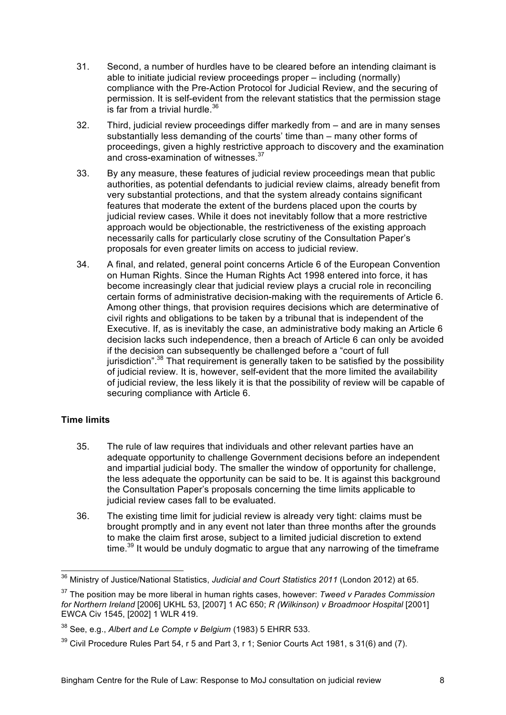- 31. Second, a number of hurdles have to be cleared before an intending claimant is able to initiate judicial review proceedings proper – including (normally) compliance with the Pre-Action Protocol for Judicial Review, and the securing of permission. It is self-evident from the relevant statistics that the permission stage is far from a trivial hurdle. $36$
- 32. Third, judicial review proceedings differ markedly from and are in many senses substantially less demanding of the courts' time than – many other forms of proceedings, given a highly restrictive approach to discovery and the examination and cross-examination of witnesses.<sup>37</sup>
- 33. By any measure, these features of judicial review proceedings mean that public authorities, as potential defendants to judicial review claims, already benefit from very substantial protections, and that the system already contains significant features that moderate the extent of the burdens placed upon the courts by judicial review cases. While it does not inevitably follow that a more restrictive approach would be objectionable, the restrictiveness of the existing approach necessarily calls for particularly close scrutiny of the Consultation Paper's proposals for even greater limits on access to judicial review.
- 34. A final, and related, general point concerns Article 6 of the European Convention on Human Rights. Since the Human Rights Act 1998 entered into force, it has become increasingly clear that judicial review plays a crucial role in reconciling certain forms of administrative decision-making with the requirements of Article 6. Among other things, that provision requires decisions which are determinative of civil rights and obligations to be taken by a tribunal that is independent of the Executive. If, as is inevitably the case, an administrative body making an Article 6 decision lacks such independence, then a breach of Article 6 can only be avoided if the decision can subsequently be challenged before a "court of full jurisdiction".<sup>38</sup> That requirement is generally taken to be satisfied by the possibility of judicial review. It is, however, self-evident that the more limited the availability of judicial review, the less likely it is that the possibility of review will be capable of securing compliance with Article 6.

# **Time limits**

- 35. The rule of law requires that individuals and other relevant parties have an adequate opportunity to challenge Government decisions before an independent and impartial judicial body. The smaller the window of opportunity for challenge, the less adequate the opportunity can be said to be. It is against this background the Consultation Paper's proposals concerning the time limits applicable to judicial review cases fall to be evaluated.
- 36. The existing time limit for judicial review is already very tight: claims must be brought promptly and in any event not later than three months after the grounds to make the claim first arose, subject to a limited judicial discretion to extend time.<sup>39</sup> It would be unduly dogmatic to argue that any narrowing of the timeframe

 <sup>36</sup> Ministry of Justice/National Statistics, *Judicial and Court Statistics 2011* (London 2012) at 65.

<sup>37</sup> The position may be more liberal in human rights cases, however: *Tweed v Parades Commission for Northern Ireland* [2006] UKHL 53, [2007] 1 AC 650; *R (Wilkinson) v Broadmoor Hospital* [2001] EWCA Civ 1545, [2002] 1 WLR 419.

<sup>38</sup> See, e.g., *Albert and Le Compte v Belgium* (1983) 5 EHRR 533.

 $39$  Civil Procedure Rules Part 54, r 5 and Part 3, r 1; Senior Courts Act 1981, s 31(6) and (7).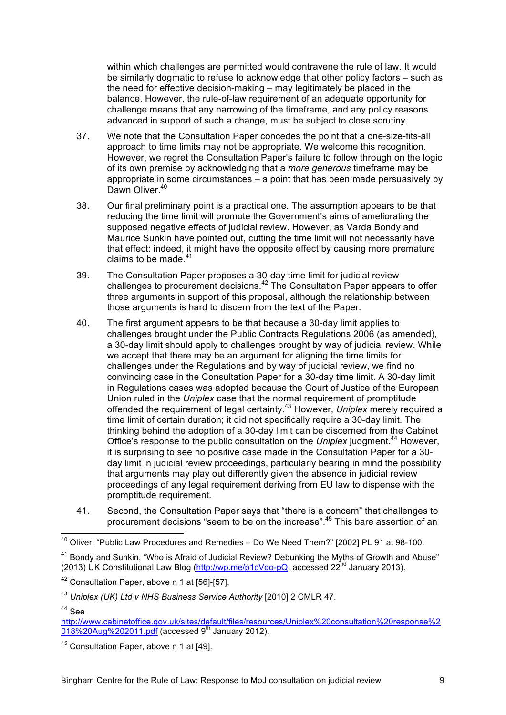within which challenges are permitted would contravene the rule of law. It would be similarly dogmatic to refuse to acknowledge that other policy factors – such as the need for effective decision-making – may legitimately be placed in the balance. However, the rule-of-law requirement of an adequate opportunity for challenge means that any narrowing of the timeframe, and any policy reasons advanced in support of such a change, must be subject to close scrutiny.

- 37. We note that the Consultation Paper concedes the point that a one-size-fits-all approach to time limits may not be appropriate. We welcome this recognition. However, we regret the Consultation Paper's failure to follow through on the logic of its own premise by acknowledging that a *more generous* timeframe may be appropriate in some circumstances – a point that has been made persuasively by Dawn Oliver.<sup>40</sup>
- 38. Our final preliminary point is a practical one. The assumption appears to be that reducing the time limit will promote the Government's aims of ameliorating the supposed negative effects of judicial review. However, as Varda Bondy and Maurice Sunkin have pointed out, cutting the time limit will not necessarily have that effect: indeed, it might have the opposite effect by causing more premature claims to be made. $41$
- 39. The Consultation Paper proposes a 30-day time limit for judicial review challenges to procurement decisions.<sup>42</sup> The Consultation Paper appears to offer three arguments in support of this proposal, although the relationship between those arguments is hard to discern from the text of the Paper.
- 40. The first argument appears to be that because a 30-day limit applies to challenges brought under the Public Contracts Regulations 2006 (as amended), a 30-day limit should apply to challenges brought by way of judicial review. While we accept that there may be an argument for aligning the time limits for challenges under the Regulations and by way of judicial review, we find no convincing case in the Consultation Paper for a 30-day time limit. A 30-day limit in Regulations cases was adopted because the Court of Justice of the European Union ruled in the *Uniplex* case that the normal requirement of promptitude offended the requirement of legal certainty.43 However, *Uniplex* merely required a time limit of certain duration; it did not specifically require a 30-day limit. The thinking behind the adoption of a 30-day limit can be discerned from the Cabinet Office's response to the public consultation on the Uniplex judgment.<sup>44</sup> However, it is surprising to see no positive case made in the Consultation Paper for a 30 day limit in judicial review proceedings, particularly bearing in mind the possibility that arguments may play out differently given the absence in judicial review proceedings of any legal requirement deriving from EU law to dispense with the promptitude requirement.
- 41. Second, the Consultation Paper says that "there is a concern" that challenges to procurement decisions "seem to be on the increase".45 This bare assertion of an

 <sup>40</sup> Oliver, "Public Law Procedures and Remedies – Do We Need Them?" [2002] PL 91 at 98-100.

<sup>&</sup>lt;sup>41</sup> Bondy and Sunkin, "Who is Afraid of Judicial Review? Debunking the Myths of Growth and Abuse" (2013) UK Constitutional Law Blog ( $\frac{http://wp.me/p1cVqo-pQ}{http://wp.me/p1cVqo-pQ}$ , accessed 22<sup>nd</sup> January 2013).

<sup>42</sup> Consultation Paper, above n 1 at [56]-[57].

<sup>43</sup> *Uniplex (UK) Ltd v NHS Business Service Authority* [2010] 2 CMLR 47.

 $44$  See

http://www.cabinetoffice.gov.uk/sites/default/files/resources/Uniplex%20consultation%20response%2  $\frac{1}{1018\%20 \text{Aug}\%202011.\text{pdf}}$  (accessed 9<sup>th</sup> January 2012).

<sup>45</sup> Consultation Paper, above n 1 at [49].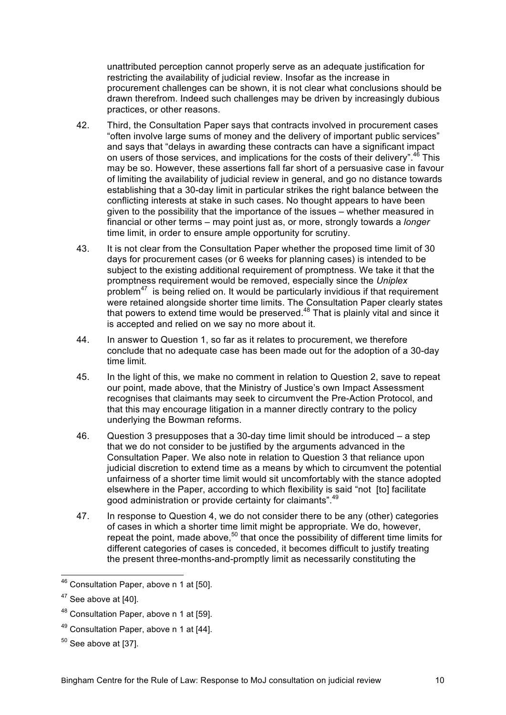unattributed perception cannot properly serve as an adequate justification for restricting the availability of judicial review. Insofar as the increase in procurement challenges can be shown, it is not clear what conclusions should be drawn therefrom. Indeed such challenges may be driven by increasingly dubious practices, or other reasons.

- 42. Third, the Consultation Paper says that contracts involved in procurement cases "often involve large sums of money and the delivery of important public services" and says that "delays in awarding these contracts can have a significant impact on users of those services, and implications for the costs of their delivery".<sup>46</sup> This may be so. However, these assertions fall far short of a persuasive case in favour of limiting the availability of judicial review in general, and go no distance towards establishing that a 30-day limit in particular strikes the right balance between the conflicting interests at stake in such cases. No thought appears to have been given to the possibility that the importance of the issues – whether measured in financial or other terms – may point just as, or more, strongly towards a *longer*  time limit, in order to ensure ample opportunity for scrutiny.
- 43. It is not clear from the Consultation Paper whether the proposed time limit of 30 days for procurement cases (or 6 weeks for planning cases) is intended to be subject to the existing additional requirement of promptness. We take it that the promptness requirement would be removed, especially since the *Uniplex* problem47 is being relied on. It would be particularly invidious if that requirement were retained alongside shorter time limits. The Consultation Paper clearly states that powers to extend time would be preserved.48 That is plainly vital and since it is accepted and relied on we say no more about it.
- 44. In answer to Question 1, so far as it relates to procurement, we therefore conclude that no adequate case has been made out for the adoption of a 30-day time limit.
- 45. In the light of this, we make no comment in relation to Question 2, save to repeat our point, made above, that the Ministry of Justice's own Impact Assessment recognises that claimants may seek to circumvent the Pre-Action Protocol, and that this may encourage litigation in a manner directly contrary to the policy underlying the Bowman reforms.
- 46. Question 3 presupposes that a 30-day time limit should be introduced a step that we do not consider to be justified by the arguments advanced in the Consultation Paper. We also note in relation to Question 3 that reliance upon judicial discretion to extend time as a means by which to circumvent the potential unfairness of a shorter time limit would sit uncomfortably with the stance adopted elsewhere in the Paper, according to which flexibility is said "not [to] facilitate good administration or provide certainty for claimants".<sup>49</sup>
- 47. In response to Question 4, we do not consider there to be any (other) categories of cases in which a shorter time limit might be appropriate. We do, however, repeat the point, made above, $50$  that once the possibility of different time limits for different categories of cases is conceded, it becomes difficult to justify treating the present three-months-and-promptly limit as necessarily constituting the

- 48 Consultation Paper, above n 1 at [59].
- 49 Consultation Paper, above n 1 at [44].
- $50$  See above at [37].

 <sup>46</sup> Consultation Paper, above n 1 at [50].

 $47$  See above at [40].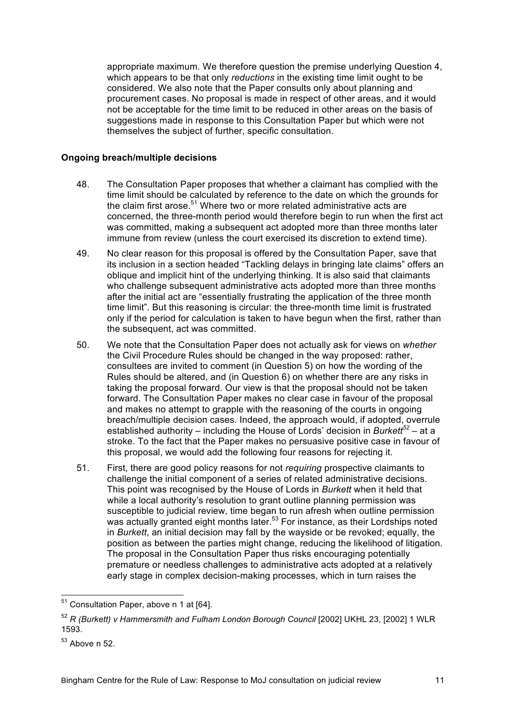appropriate maximum. We therefore question the premise underlying Question 4, which appears to be that only *reductions* in the existing time limit ought to be considered. We also note that the Paper consults only about planning and procurement cases. No proposal is made in respect of other areas, and it would not be acceptable for the time limit to be reduced in other areas on the basis of suggestions made in response to this Consultation Paper but which were not themselves the subject of further, specific consultation.

#### **Ongoing breach/multiple decisions**

- 48. The Consultation Paper proposes that whether a claimant has complied with the time limit should be calculated by reference to the date on which the grounds for the claim first arose.<sup>51</sup> Where two or more related administrative acts are concerned, the three-month period would therefore begin to run when the first act was committed, making a subsequent act adopted more than three months later immune from review (unless the court exercised its discretion to extend time).
- 49. No clear reason for this proposal is offered by the Consultation Paper, save that its inclusion in a section headed "Tackling delays in bringing late claims" offers an oblique and implicit hint of the underlying thinking. It is also said that claimants who challenge subsequent administrative acts adopted more than three months after the initial act are "essentially frustrating the application of the three month time limit". But this reasoning is circular: the three-month time limit is frustrated only if the period for calculation is taken to have begun when the first, rather than the subsequent, act was committed.
- 50. We note that the Consultation Paper does not actually ask for views on *whether* the Civil Procedure Rules should be changed in the way proposed: rather, consultees are invited to comment (in Question 5) on how the wording of the Rules should be altered, and (in Question 6) on whether there are any risks in taking the proposal forward. Our view is that the proposal should not be taken forward. The Consultation Paper makes no clear case in favour of the proposal and makes no attempt to grapple with the reasoning of the courts in ongoing breach/multiple decision cases. Indeed, the approach would, if adopted, overrule established authority – including the House of Lords' decision in *Burkett<sup>52</sup>* – at a stroke. To the fact that the Paper makes no persuasive positive case in favour of this proposal, we would add the following four reasons for rejecting it.
- 51. First, there are good policy reasons for not *requiring* prospective claimants to challenge the initial component of a series of related administrative decisions. This point was recognised by the House of Lords in *Burkett* when it held that while a local authority's resolution to grant outline planning permission was susceptible to judicial review, time began to run afresh when outline permission was actually granted eight months later.<sup>53</sup> For instance, as their Lordships noted in *Burkett*, an initial decision may fall by the wayside or be revoked; equally, the position as between the parties might change, reducing the likelihood of litigation. The proposal in the Consultation Paper thus risks encouraging potentially premature or needless challenges to administrative acts adopted at a relatively early stage in complex decision-making processes, which in turn raises the

 <sup>51</sup> Consultation Paper, above n 1 at [64].

<sup>52</sup> *R (Burkett) v Hammersmith and Fulham London Borough Council* [2002] UKHL 23, [2002] 1 WLR 1593.

 $53$  Above n 52.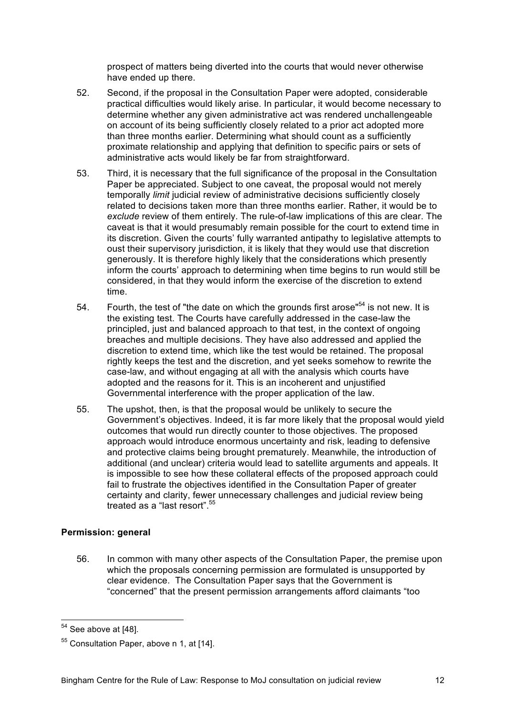prospect of matters being diverted into the courts that would never otherwise have ended up there.

- 52. Second, if the proposal in the Consultation Paper were adopted, considerable practical difficulties would likely arise. In particular, it would become necessary to determine whether any given administrative act was rendered unchallengeable on account of its being sufficiently closely related to a prior act adopted more than three months earlier. Determining what should count as a sufficiently proximate relationship and applying that definition to specific pairs or sets of administrative acts would likely be far from straightforward.
- 53. Third, it is necessary that the full significance of the proposal in the Consultation Paper be appreciated. Subject to one caveat, the proposal would not merely temporally *limit* judicial review of administrative decisions sufficiently closely related to decisions taken more than three months earlier. Rather, it would be to *exclude* review of them entirely. The rule-of-law implications of this are clear. The caveat is that it would presumably remain possible for the court to extend time in its discretion. Given the courts' fully warranted antipathy to legislative attempts to oust their supervisory jurisdiction, it is likely that they would use that discretion generously. It is therefore highly likely that the considerations which presently inform the courts' approach to determining when time begins to run would still be considered, in that they would inform the exercise of the discretion to extend time.
- 54. Fourth, the test of "the date on which the grounds first arose"<sup>54</sup> is not new. It is the existing test. The Courts have carefully addressed in the case-law the principled, just and balanced approach to that test, in the context of ongoing breaches and multiple decisions. They have also addressed and applied the discretion to extend time, which like the test would be retained. The proposal rightly keeps the test and the discretion, and yet seeks somehow to rewrite the case-law, and without engaging at all with the analysis which courts have adopted and the reasons for it. This is an incoherent and unjustified Governmental interference with the proper application of the law.
- 55. The upshot, then, is that the proposal would be unlikely to secure the Government's objectives. Indeed, it is far more likely that the proposal would yield outcomes that would run directly counter to those objectives. The proposed approach would introduce enormous uncertainty and risk, leading to defensive and protective claims being brought prematurely. Meanwhile, the introduction of additional (and unclear) criteria would lead to satellite arguments and appeals. It is impossible to see how these collateral effects of the proposed approach could fail to frustrate the objectives identified in the Consultation Paper of greater certainty and clarity, fewer unnecessary challenges and judicial review being treated as a "last resort" <sup>55</sup>

## **Permission: general**

56. In common with many other aspects of the Consultation Paper, the premise upon which the proposals concerning permission are formulated is unsupported by clear evidence. The Consultation Paper says that the Government is "concerned" that the present permission arrangements afford claimants "too

 $54$  See above at [48].

<sup>55</sup> Consultation Paper, above n 1, at [14].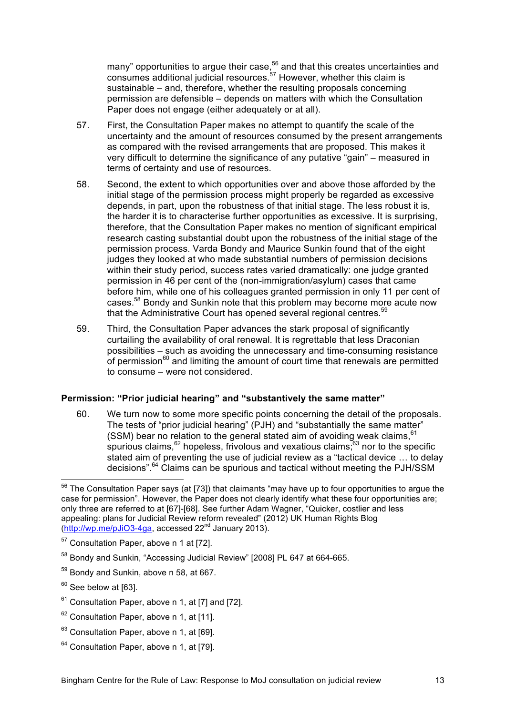many" opportunities to argue their case,<sup>56</sup> and that this creates uncertainties and consumes additional judicial resources.<sup>57</sup> However, whether this claim is sustainable – and, therefore, whether the resulting proposals concerning permission are defensible – depends on matters with which the Consultation Paper does not engage (either adequately or at all).

- 57. First, the Consultation Paper makes no attempt to quantify the scale of the uncertainty and the amount of resources consumed by the present arrangements as compared with the revised arrangements that are proposed. This makes it very difficult to determine the significance of any putative "gain" – measured in terms of certainty and use of resources.
- 58. Second, the extent to which opportunities over and above those afforded by the initial stage of the permission process might properly be regarded as excessive depends, in part, upon the robustness of that initial stage. The less robust it is, the harder it is to characterise further opportunities as excessive. It is surprising, therefore, that the Consultation Paper makes no mention of significant empirical research casting substantial doubt upon the robustness of the initial stage of the permission process. Varda Bondy and Maurice Sunkin found that of the eight judges they looked at who made substantial numbers of permission decisions within their study period, success rates varied dramatically: one judge granted permission in 46 per cent of the (non-immigration/asylum) cases that came before him, while one of his colleagues granted permission in only 11 per cent of cases.58 Bondy and Sunkin note that this problem may become more acute now that the Administrative Court has opened several regional centres.<sup>59</sup>
- 59. Third, the Consultation Paper advances the stark proposal of significantly curtailing the availability of oral renewal. It is regrettable that less Draconian possibilities – such as avoiding the unnecessary and time-consuming resistance of permission<sup>60</sup> and limiting the amount of court time that renewals are permitted to consume – were not considered.

## **Permission: "Prior judicial hearing" and "substantively the same matter"**

60. We turn now to some more specific points concerning the detail of the proposals. The tests of "prior judicial hearing" (PJH) and "substantially the same matter" (SSM) bear no relation to the general stated aim of avoiding weak claims. $61$ spurious claims,  $62$  hopeless, frivolous and vexatious claims; $63$  nor to the specific stated aim of preventing the use of judicial review as a "tactical device … to delay decisions".<sup>64</sup> Claims can be spurious and tactical without meeting the PJH/SSM

 $61$  Consultation Paper, above n 1, at [7] and [72].

 $64$  Consultation Paper, above n 1, at [79].

 <sup>56</sup> The Consultation Paper says (at [73]) that claimants "may have up to four opportunities to argue the case for permission". However, the Paper does not clearly identify what these four opportunities are; only three are referred to at [67]-[68]. See further Adam Wagner, "Quicker, costlier and less appealing: plans for Judicial Review reform revealed" (2012) UK Human Rights Blog  $(<http://wp.me/bJiO3-4ga>, accessed  $22<sup>nd</sup>$  January  $2013$ ).$ 

<sup>57</sup> Consultation Paper, above n 1 at [72].

<sup>&</sup>lt;sup>58</sup> Bondy and Sunkin, "Accessing Judicial Review" [2008] PL 647 at 664-665.

<sup>59</sup> Bondy and Sunkin, above n 58, at 667.

 $60$  See below at [63].

 $62$  Consultation Paper, above n 1, at [11].

<sup>&</sup>lt;sup>63</sup> Consultation Paper, above n 1, at [69].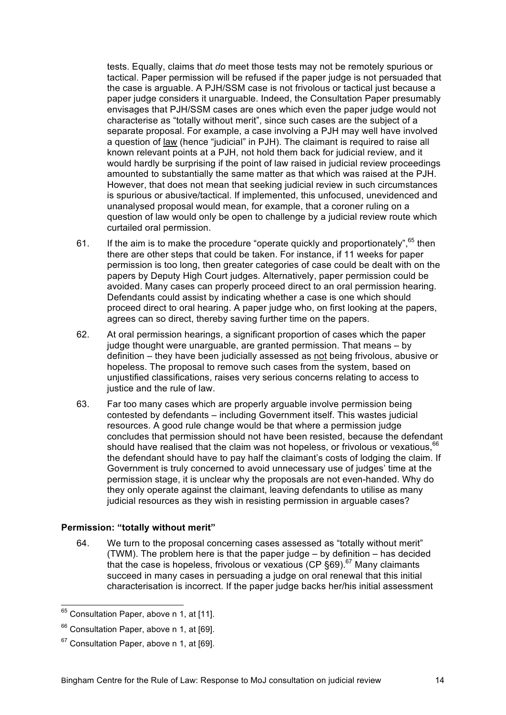tests. Equally, claims that *do* meet those tests may not be remotely spurious or tactical. Paper permission will be refused if the paper judge is not persuaded that the case is arguable. A PJH/SSM case is not frivolous or tactical just because a paper judge considers it unarguable. Indeed, the Consultation Paper presumably envisages that PJH/SSM cases are ones which even the paper judge would not characterise as "totally without merit", since such cases are the subject of a separate proposal. For example, a case involving a PJH may well have involved a question of law (hence "judicial" in PJH). The claimant is required to raise all known relevant points at a PJH, not hold them back for judicial review, and it would hardly be surprising if the point of law raised in judicial review proceedings amounted to substantially the same matter as that which was raised at the PJH. However, that does not mean that seeking judicial review in such circumstances is spurious or abusive/tactical. If implemented, this unfocused, unevidenced and unanalysed proposal would mean, for example, that a coroner ruling on a question of law would only be open to challenge by a judicial review route which curtailed oral permission.

- 61. If the aim is to make the procedure "operate quickly and proportionately",  $65$  then there are other steps that could be taken. For instance, if 11 weeks for paper permission is too long, then greater categories of case could be dealt with on the papers by Deputy High Court judges. Alternatively, paper permission could be avoided. Many cases can properly proceed direct to an oral permission hearing. Defendants could assist by indicating whether a case is one which should proceed direct to oral hearing. A paper judge who, on first looking at the papers, agrees can so direct, thereby saving further time on the papers.
- 62. At oral permission hearings, a significant proportion of cases which the paper judge thought were unarguable, are granted permission. That means – by definition – they have been judicially assessed as not being frivolous, abusive or hopeless. The proposal to remove such cases from the system, based on unjustified classifications, raises very serious concerns relating to access to justice and the rule of law.
- 63. Far too many cases which are properly arguable involve permission being contested by defendants – including Government itself. This wastes judicial resources. A good rule change would be that where a permission judge concludes that permission should not have been resisted, because the defendant should have realised that the claim was not hopeless, or frivolous or vexatious,  $66$ the defendant should have to pay half the claimant's costs of lodging the claim. If Government is truly concerned to avoid unnecessary use of judges' time at the permission stage, it is unclear why the proposals are not even-handed. Why do they only operate against the claimant, leaving defendants to utilise as many judicial resources as they wish in resisting permission in arguable cases?

#### **Permission: "totally without merit"**

64. We turn to the proposal concerning cases assessed as "totally without merit" (TWM). The problem here is that the paper judge – by definition – has decided that the case is hopeless, frivolous or vexatious (CP  $\S69$ ).<sup>67</sup> Many claimants succeed in many cases in persuading a judge on oral renewal that this initial characterisation is incorrect. If the paper judge backs her/his initial assessment

<sup>&</sup>lt;sup>65</sup> Consultation Paper, above n 1, at [11].

<sup>66</sup> Consultation Paper, above n 1, at [69].

 $67$  Consultation Paper, above n 1, at [69].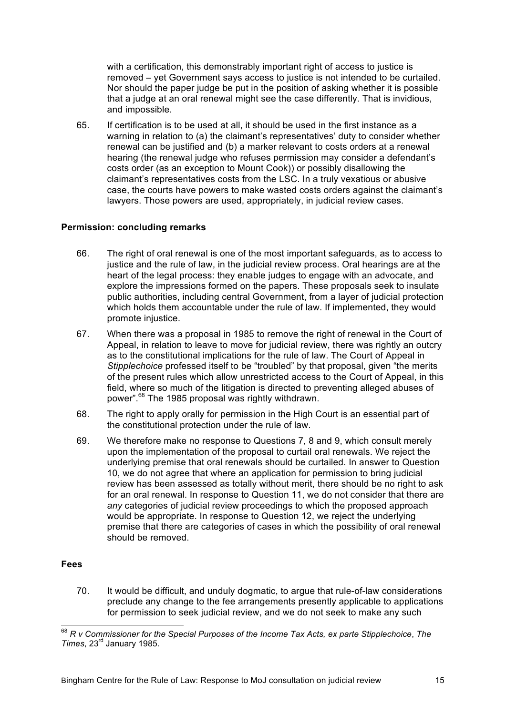with a certification, this demonstrably important right of access to justice is removed – yet Government says access to justice is not intended to be curtailed. Nor should the paper judge be put in the position of asking whether it is possible that a judge at an oral renewal might see the case differently. That is invidious, and impossible.

65. If certification is to be used at all, it should be used in the first instance as a warning in relation to (a) the claimant's representatives' duty to consider whether renewal can be justified and (b) a marker relevant to costs orders at a renewal hearing (the renewal judge who refuses permission may consider a defendant's costs order (as an exception to Mount Cook)) or possibly disallowing the claimant's representatives costs from the LSC. In a truly vexatious or abusive case, the courts have powers to make wasted costs orders against the claimant's lawyers. Those powers are used, appropriately, in judicial review cases.

#### **Permission: concluding remarks**

- 66. The right of oral renewal is one of the most important safeguards, as to access to justice and the rule of law, in the judicial review process. Oral hearings are at the heart of the legal process: they enable judges to engage with an advocate, and explore the impressions formed on the papers. These proposals seek to insulate public authorities, including central Government, from a layer of judicial protection which holds them accountable under the rule of law. If implemented, they would promote injustice.
- 67. When there was a proposal in 1985 to remove the right of renewal in the Court of Appeal, in relation to leave to move for judicial review, there was rightly an outcry as to the constitutional implications for the rule of law. The Court of Appeal in *Stipplechoice* professed itself to be "troubled" by that proposal, given "the merits of the present rules which allow unrestricted access to the Court of Appeal, in this field, where so much of the litigation is directed to preventing alleged abuses of power".<sup>68</sup> The 1985 proposal was rightly withdrawn.
- 68. The right to apply orally for permission in the High Court is an essential part of the constitutional protection under the rule of law.
- 69. We therefore make no response to Questions 7, 8 and 9, which consult merely upon the implementation of the proposal to curtail oral renewals. We reject the underlying premise that oral renewals should be curtailed. In answer to Question 10, we do not agree that where an application for permission to bring judicial review has been assessed as totally without merit, there should be no right to ask for an oral renewal. In response to Question 11, we do not consider that there are *any* categories of judicial review proceedings to which the proposed approach would be appropriate. In response to Question 12, we reject the underlying premise that there are categories of cases in which the possibility of oral renewal should be removed.

#### **Fees**

70. It would be difficult, and unduly dogmatic, to argue that rule-of-law considerations preclude any change to the fee arrangements presently applicable to applications for permission to seek judicial review, and we do not seek to make any such

 <sup>68</sup> *R v Commissioner for the Special Purposes of the Income Tax Acts, ex parte Stipplechoice*, *The Times*, 23rd January 1985.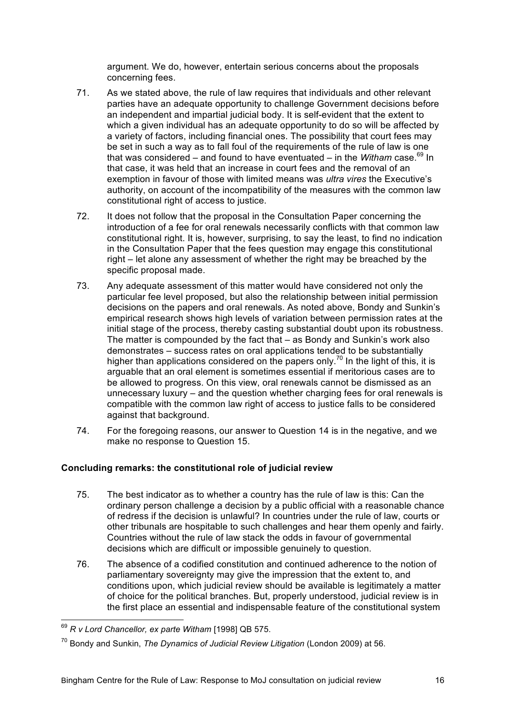argument. We do, however, entertain serious concerns about the proposals concerning fees.

- 71. As we stated above, the rule of law requires that individuals and other relevant parties have an adequate opportunity to challenge Government decisions before an independent and impartial judicial body. It is self-evident that the extent to which a given individual has an adequate opportunity to do so will be affected by a variety of factors, including financial ones. The possibility that court fees may be set in such a way as to fall foul of the requirements of the rule of law is one that was considered – and found to have eventuated – in the *Witham* case.<sup>69</sup> In that case, it was held that an increase in court fees and the removal of an exemption in favour of those with limited means was *ultra vires* the Executive's authority, on account of the incompatibility of the measures with the common law constitutional right of access to justice.
- 72. It does not follow that the proposal in the Consultation Paper concerning the introduction of a fee for oral renewals necessarily conflicts with that common law constitutional right. It is, however, surprising, to say the least, to find no indication in the Consultation Paper that the fees question may engage this constitutional right – let alone any assessment of whether the right may be breached by the specific proposal made.
- 73. Any adequate assessment of this matter would have considered not only the particular fee level proposed, but also the relationship between initial permission decisions on the papers and oral renewals. As noted above, Bondy and Sunkin's empirical research shows high levels of variation between permission rates at the initial stage of the process, thereby casting substantial doubt upon its robustness. The matter is compounded by the fact that – as Bondy and Sunkin's work also demonstrates – success rates on oral applications tended to be substantially higher than applications considered on the papers only.<sup>70</sup> In the light of this, it is arguable that an oral element is sometimes essential if meritorious cases are to be allowed to progress. On this view, oral renewals cannot be dismissed as an unnecessary luxury – and the question whether charging fees for oral renewals is compatible with the common law right of access to justice falls to be considered against that background.
- 74. For the foregoing reasons, our answer to Question 14 is in the negative, and we make no response to Question 15.

# **Concluding remarks: the constitutional role of judicial review**

- 75. The best indicator as to whether a country has the rule of law is this: Can the ordinary person challenge a decision by a public official with a reasonable chance of redress if the decision is unlawful? In countries under the rule of law, courts or other tribunals are hospitable to such challenges and hear them openly and fairly. Countries without the rule of law stack the odds in favour of governmental decisions which are difficult or impossible genuinely to question.
- 76. The absence of a codified constitution and continued adherence to the notion of parliamentary sovereignty may give the impression that the extent to, and conditions upon, which judicial review should be available is legitimately a matter of choice for the political branches. But, properly understood, judicial review is in the first place an essential and indispensable feature of the constitutional system

 <sup>69</sup> *R v Lord Chancellor, ex parte Witham* [1998] QB 575.

<sup>70</sup> Bondy and Sunkin, *The Dynamics of Judicial Review Litigation* (London 2009) at 56.